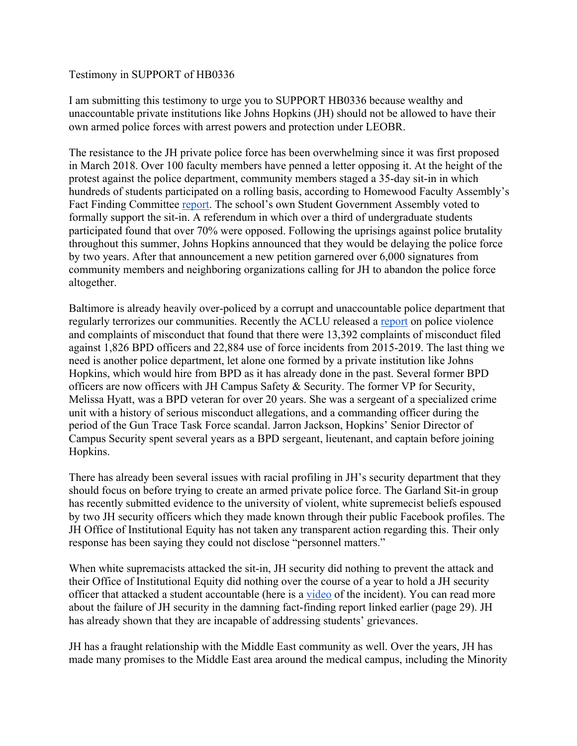## Testimony in SUPPORT of HB0336

I am submitting this testimony to urge you to SUPPORT HB0336 because wealthy and unaccountable private institutions like Johns Hopkins (JH) should not be allowed to have their own armed police forces with arrest powers and protection under LEOBR.

The resistance to the JH private police force has been overwhelming since it was first proposed in March 2018. Over 100 faculty members have penned a letter opposing it. At the height of the protest against the police department, community members staged a 35-day sit-in in which hundreds of students participated on a rolling basis, according to Homewood Faculty Assembly's Fact Finding Committee report. The school's own Student Government Assembly voted to formally support the sit-in. A referendum in which over a third of undergraduate students participated found that over 70% were opposed. Following the uprisings against police brutality throughout this summer, Johns Hopkins announced that they would be delaying the police force by two years. After that announcement a new petition garnered over 6,000 signatures from community members and neighboring organizations calling for JH to abandon the police force altogether.

Baltimore is already heavily over-policed by a corrupt and unaccountable police department that regularly terrorizes our communities. Recently the ACLU released a report on police violence and complaints of misconduct that found that there were 13,392 complaints of misconduct filed against 1,826 BPD officers and 22,884 use of force incidents from 2015-2019. The last thing we need is another police department, let alone one formed by a private institution like Johns Hopkins, which would hire from BPD as it has already done in the past. Several former BPD officers are now officers with JH Campus Safety & Security. The former VP for Security, Melissa Hyatt, was a BPD veteran for over 20 years. She was a sergeant of a specialized crime unit with a history of serious misconduct allegations, and a commanding officer during the period of the Gun Trace Task Force scandal. Jarron Jackson, Hopkins' Senior Director of Campus Security spent several years as a BPD sergeant, lieutenant, and captain before joining Hopkins.

There has already been several issues with racial profiling in JH's security department that they should focus on before trying to create an armed private police force. The Garland Sit-in group has recently submitted evidence to the university of violent, white supremecist beliefs espoused by two JH security officers which they made known through their public Facebook profiles. The JH Office of Institutional Equity has not taken any transparent action regarding this. Their only response has been saying they could not disclose "personnel matters."

When white supremacists attacked the sit-in, JH security did nothing to prevent the attack and their Office of Institutional Equity did nothing over the course of a year to hold a JH security officer that attacked a student accountable (here is a video of the incident). You can read more about the failure of JH security in the damning fact-finding report linked earlier (page 29). JH has already shown that they are incapable of addressing students' grievances.

JH has a fraught relationship with the Middle East community as well. Over the years, JH has made many promises to the Middle East area around the medical campus, including the Minority